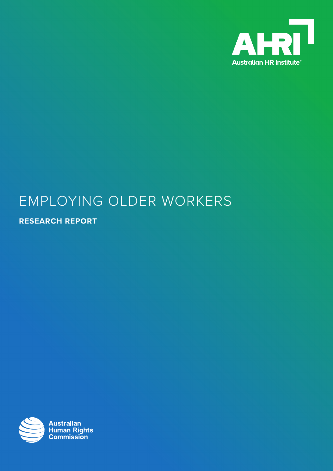

# EMPLOYING OLDER WORKERS

**RESEARCH REPORT**

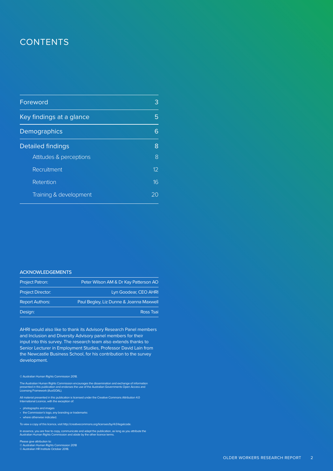### **CONTENTS**

| Foreword                 | З                 |
|--------------------------|-------------------|
| Key findings at a glance | 5                 |
| Demographics             |                   |
| <b>Detailed findings</b> | 8                 |
| Attitudes & perceptions  | 8                 |
| Recruitment              | $12 \overline{ }$ |
| Retention                | 16                |
| Training & development   |                   |

#### **ACKNOWLEDGEMENTS**

| <b>Project Patron:</b>   | Peter Wilson AM & Dr Kay Patterson AO   |
|--------------------------|-----------------------------------------|
| <b>Project Director:</b> | Lyn Goodear, CEO AHRI                   |
| <b>Report Authors:</b>   | Paul Begley, Liz Dunne & Joanna Maxwell |
| Design:                  | <b>Ross Tsai</b>                        |

AHRI would also like to thank its Advisory Research Panel members and Inclusion and Diversity Advisory panel members for their input into this survey. The research team also extends thanks to Senior Lecturer in Employment Studies, Professor David Lain from the Newcastle Business School, for his contribution to the survey development.

#### © Australian Human Rights Commission 2018.

The Australian Human Rights Commission encourages the dissemination and exchange of information<br>presented in this publication and endorses the use of the Australian Governments Open Access and<br>Licensing Framework (AusGOAL)

All material presented in this publication is licensed under the Creative Commons Attribution 4.0 International Licence, with the exception of:

- photographs and images
- the Commission's logo, any branding or trademarks
- where otherwise indicated.

To view a copy of this licence, visit http://creativecommons.org/licenses/by/4.0/legalcode.

In essence, you are free to copy, communicate and adapt the publication, as long as you attribute the Australian Human Rights Commission and abide by the other licence terms.

Please give attribution to: © Australian Human Rights Commission 2018 © Australian HR Institute October 2018.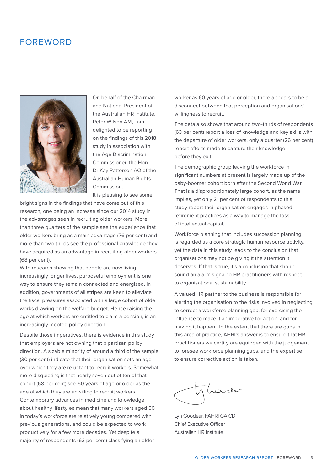### FOREWORD



On behalf of the Chairman and National President of the Australian HR Institute, Peter Wilson AM, I am delighted to be reporting on the findings of this 2018 study in association with the Age Discrimination Commissioner, the Hon Dr Kay Patterson AO of the Australian Human Rights Commission.

It is pleasing to see some

bright signs in the findings that have come out of this research, one being an increase since our 2014 study in the advantages seen in recruiting older workers. More than three quarters of the sample see the experience that older workers bring as a main advantage (76 per cent) and more than two-thirds see the professional knowledge they have acquired as an advantage in recruiting older workers (68 per cent).

With research showing that people are now living increasingly longer lives, purposeful employment is one way to ensure they remain connected and energised. In addition, governments of all stripes are keen to alleviate the fiscal pressures associated with a large cohort of older works drawing on the welfare budget. Hence raising the age at which workers are entitled to claim a pension, is an increasingly mooted policy direction.

Despite those imperatives, there is evidence in this study that employers are not owning that bipartisan policy direction. A sizable minority of around a third of the sample (30 per cent) indicate that their organisation sets an age over which they are reluctant to recruit workers. Somewhat more disquieting is that nearly seven out of ten of that cohort (68 per cent) see 50 years of age or older as the age at which they are unwilling to recruit workers. Contemporary advances in medicine and knowledge about healthy lifestyles mean that many workers aged 50 in today's workforce are relatively young compared with previous generations, and could be expected to work productively for a few more decades. Yet despite a majority of respondents (63 per cent) classifying an older

worker as 60 years of age or older, there appears to be a disconnect between that perception and organisations' willingness to recruit.

The data also shows that around two-thirds of respondents (63 per cent) report a loss of knowledge and key skills with the departure of older workers, only a quarter (26 per cent) report efforts made to capture their knowledge before they exit.

The demographic group leaving the workforce in significant numbers at present is largely made up of the baby-boomer cohort born after the Second World War. That is a disproportionately large cohort, as the name implies, yet only 21 per cent of respondents to this study report their organisation engages in phased retirement practices as a way to manage the loss of intellectual capital.

Workforce planning that includes succession planning is regarded as a core strategic human resource activity, yet the data in this study leads to the conclusion that organisations may not be giving it the attention it deserves. If that is true, it's a conclusion that should sound an alarm signal to HR practitioners with respect to organisational sustainability.

A valued HR partner to the business is responsible for alerting the organisation to the risks involved in neglecting to correct a workforce planning gap, for exercising the influence to make it an imperative for action, and for making it happen. To the extent that there are gaps in this area of practice, AHRI's answer is to ensure that HR practitioners we certify are equipped with the judgement to foresee workforce planning gaps, and the expertise to ensure corrective action is taken.

لدىتەك

Lyn Goodear, FAHRI GAICD Chief Executive Officer Australian HR Institute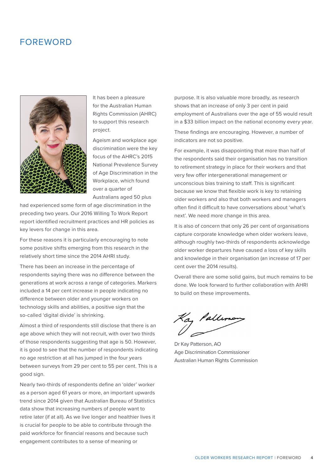### FOREWORD



It has been a pleasure for the Australian Human Rights Commission (AHRC) to support this research project.

Ageism and workplace age discrimination were the key focus of the AHRC's 2015 National Prevalence Survey of Age Discrimination in the Workplace, which found over a quarter of Australians aged 50 plus

had experienced some form of age discrimination in the preceding two years. Our 2016 Willing To Work Report report identified recruitment practices and HR policies as key levers for change in this area.

For these reasons it is particularly encouraging to note some positive shifts emerging from this research in the relatively short time since the 2014 AHRI study.

There has been an increase in the percentage of respondents saying there was no difference between the generations at work across a range of categories. Markers included a 14 per cent increase in people indicating no difference between older and younger workers on technology skills and abilities, a positive sign that the so-called 'digital divide' is shrinking.

Almost a third of respondents still disclose that there is an age above which they will not recruit, with over two thirds of those respondents suggesting that age is 50. However, it is good to see that the number of respondents indicating no age restriction at all has jumped in the four years between surveys from 29 per cent to 55 per cent. This is a good sign.

Nearly two-thirds of respondents define an 'older' worker as a person aged 61 years or more, an important upwards trend since 2014 given that Australian Bureau of Statistics data show that increasing numbers of people want to retire later (if at all). As we live longer and healthier lives it is crucial for people to be able to contribute through the paid workforce for financial reasons and because such engagement contributes to a sense of meaning or

purpose. It is also valuable more broadly, as research shows that an increase of only 3 per cent in paid employment of Australians over the age of 55 would result in a \$33 billion impact on the national economy every year.

These findings are encouraging. However, a number of indicators are not so positive.

For example, it was disappointing that more than half of the respondents said their organisation has no transition to retirement strategy in place for their workers and that very few offer intergenerational management or unconscious bias training to staff. This is significant because we know that flexible work is key to retaining older workers and also that both workers and managers often find it difficult to have conversations about 'what's next'. We need more change in this area.

It is also of concern that only 26 per cent of organisations capture corporate knowledge when older workers leave, although roughly two-thirds of respondents acknowledge older worker departures have caused a loss of key skills and knowledge in their organisation (an increase of 17 per cent over the 2014 results).

Overall there are some solid gains, but much remains to be done. We look forward to further collaboration with AHRI to build on these improvements.

Ka<sub>g</sub> Pallime<br>I

Dr Kay Patterson, AO Age Discrimination Commissioner Australian Human Rights Commission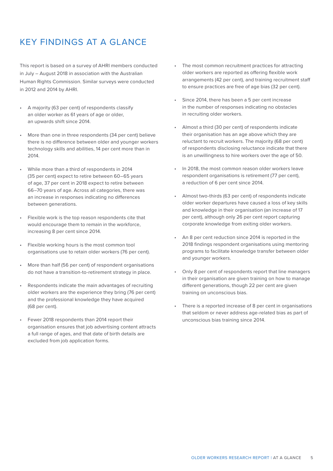### KEY FINDINGS AT A GLANCE

This report is based on a survey of AHRI members conducted in July – August 2018 in association with the Australian Human Rights Commission. Similar surveys were conducted in 2012 and 2014 by AHRI.

- A majority (63 per cent) of respondents classify an older worker as 61 years of age or older, an upwards shift since 2014.
- More than one in three respondents (34 per cent) believe there is no difference between older and younger workers technology skills and abilities, 14 per cent more than in 2014.
- While more than a third of respondents in 2014 (35 per cent) expect to retire between 60–65 years of age, 37 per cent in 2018 expect to retire between 66–70 years of age. Across all categories, there was an increase in responses indicating no differences between generations.
- Flexible work is the top reason respondents cite that would encourage them to remain in the workforce, increasing 8 per cent since 2014.
- Flexible working hours is the most common tool organisations use to retain older workers (76 per cent).
- More than half (56 per cent) of respondent organisations do not have a transition-to-retirement strategy in place.
- Respondents indicate the main advantages of recruiting older workers are the experience they bring (76 per cent) and the professional knowledge they have acquired (68 per cent).
- Fewer 2018 respondents than 2014 report their organisation ensures that job advertising content attracts a full range of ages, and that date of birth details are excluded from job application forms.
- The most common recruitment practices for attracting older workers are reported as offering flexible work arrangements (42 per cent), and training recruitment staff to ensure practices are free of age bias (32 per cent).
- Since 2014, there has been a 5 per cent increase in the number of responses indicating no obstacles in recruiting older workers.
- Almost a third (30 per cent) of respondents indicate their organisation has an age above which they are reluctant to recruit workers. The majority (68 per cent) of respondents disclosing reluctance indicate that there is an unwillingness to hire workers over the age of 50.
- In 2018, the most common reason older workers leave respondent organisations is retirement (77 per cent), a reduction of 6 per cent since 2014.
- Almost two-thirds (63 per cent) of respondents indicate older worker departures have caused a loss of key skills and knowledge in their organisation (an increase of 17 per cent), although only 26 per cent report capturing corporate knowledge from exiting older workers.
- An 8 per cent reduction since 2014 is reported in the 2018 findings respondent organisations using mentoring programs to facilitate knowledge transfer between older and younger workers.
- Only 8 per cent of respondents report that line managers in their organisation are given training on how to manage different generations, though 22 per cent are given training on unconscious bias.
- There is a reported increase of 8 per cent in organisations that seldom or never address age-related bias as part of unconscious bias training since 2014.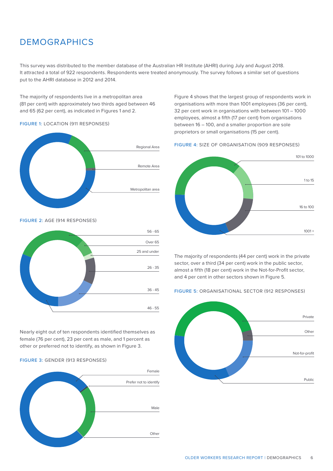### DEMOGRAPHICS

This survey was distributed to the member database of the Australian HR Institute (AHRI) during July and August 2018. It attracted a total of 922 respondents. Respondents were treated anonymously. The survey follows a similar set of questions put to the AHRI database in 2012 and 2014.

The majority of respondents live in a metropolitan area (81 per cent) with approximately two thirds aged between 46 and 65 (62 per cent), as indicated in Figures 1 and 2.

#### FIGURE 1: LOCATION (911 RESPONSES)



#### FIGURE 2: AGE (914 RESPONSES)



Nearly eight out of ten respondents identified themselves as female (76 per cent), 23 per cent as male, and 1 percent as other or preferred not to identify, as shown in Figure 3.

#### FIGURE 3: GENDER (913 RESPONSES)



Figure 4 shows that the largest group of respondents work in organisations with more than 1001 employees (36 per cent), 32 per cent work in organisations with between 101 – 1000 employees, almost a fifth (17 per cent) from organisations between 16 – 100, and a smaller proportion are sole proprietors or small organisations (15 per cent).

#### FIGURE 4: SIZE OF ORGANISATION (909 RESPONSES)



The majority of respondents (44 per cent) work in the private sector, over a third (34 per cent) work in the public sector, almost a fifth (18 per cent) work in the Not-for-Profit sector, and 4 per cent in other sectors shown in Figure 5.

#### FIGURE 5: ORGANISATIONAL SECTOR (912 RESPONSES)

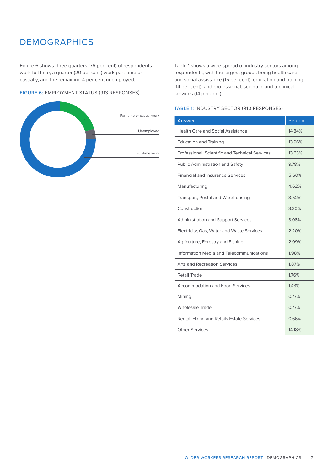### DEMOGRAPHICS

Figure 6 shows three quarters (76 per cent) of respondents work full time, a quarter (20 per cent) work part-time or casually, and the remaining 4 per cent unemployed.

#### FIGURE 6: EMPLOYMENT STATUS (913 RESPONSES)



Table 1 shows a wide spread of industry sectors among respondents, with the largest groups being health care and social assistance (15 per cent), education and training (14 per cent), and professional, scientific and technical services (14 per cent).

#### TABLE 1: INDUSTRY SECTOR (910 RESPONSES)

| Answer                                          | Percent |
|-------------------------------------------------|---------|
| <b>Health Care and Social Assistance</b>        | 14.84%  |
| <b>Education and Training</b>                   | 13.96%  |
| Professional, Scientific and Technical Services | 13.63%  |
| <b>Public Administration and Safety</b>         | 978%    |
| <b>Financial and Insurance Services</b>         | 5.60%   |
| Manufacturing                                   | 4.62%   |
| Transport, Postal and Warehousing               | 3.52%   |
| Construction                                    | 3.30%   |
| <b>Administration and Support Services</b>      | 3.08%   |
| Electricity, Gas, Water and Waste Services      | 2.20%   |
| Agriculture, Forestry and Fishing               | 2.09%   |
| Information Media and Telecommunications        | 1.98%   |
| <b>Arts and Recreation Services</b>             | 1.87%   |
| Retail Trade                                    | 1.76%   |
| <b>Accommodation and Food Services</b>          | 143%    |
| Mining                                          | 0.77%   |
| <b>Wholesale Trade</b>                          | 0.77%   |
| Rental, Hiring and Retails Estate Services      | 0.66%   |
| <b>Other Services</b>                           | 14.18%  |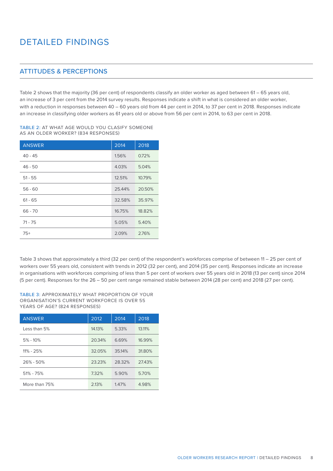### ATTITUDES & PERCEPTIONS

Table 2 shows that the majority (36 per cent) of respondents classify an older worker as aged between 61 – 65 years old, an increase of 3 per cent from the 2014 survey results. Responses indicate a shift in what is considered an older worker, with a reduction in responses between 40 – 60 years old from 44 per cent in 2014, to 37 per cent in 2018. Responses indicate an increase in classifying older workers as 61 years old or above from 56 per cent in 2014, to 63 per cent in 2018.

#### TABLE 2: AT WHAT AGE WOULD YOU CLASIFY SOMEONE AS AN OLDER WORKER? (834 RESPONSES)

| <b>ANSWER</b> | 2014   | 2018   |
|---------------|--------|--------|
| $40 - 45$     | 1.56%  | 0.72%  |
| $46 - 50$     | 4.03%  | 5.04%  |
| $51 - 55$     | 12.51% | 10.79% |
| $56 - 60$     | 25.44% | 20.50% |
| $61 - 65$     | 32.58% | 35.97% |
| $66 - 70$     | 16.75% | 18.82% |
| $71 - 75$     | 5.05%  | 5.40%  |
| $75+$         | 2.09%  | 2.76%  |

Table 3 shows that approximately a third (32 per cent) of the respondent's workforces comprise of between 11 – 25 per cent of workers over 55 years old, consistent with trends in 2012 (32 per cent), and 2014 (35 per cent). Responses indicate an increase in organisations with workforces comprising of less than 5 per cent of workers over 55 years old in 2018 (13 per cent) since 2014 (5 per cent). Responses for the 26 – 50 per cent range remained stable between 2014 (28 per cent) and 2018 (27 per cent).

#### TABLE 3: APPROXIMATELY WHAT PROPORTION OF YOUR ORGANISATION'S CURRENT WORKFORCE IS OVER 55 YEARS OF AGE? (824 RESPONSES)

| <b>ANSWER</b> | 2012   | 2014   | 2018   |
|---------------|--------|--------|--------|
| Less than 5%  | 14.13% | 5.33%  | 13.11% |
| $5\% - 10\%$  | 20.34% | 6.69%  | 16.99% |
| $11\% - 25\%$ | 32.05% | 35.14% | 31.80% |
| $26\% - 50\%$ | 23.23% | 28.32% | 27.43% |
| $51\% - 75\%$ | 7.32%  | 5.90%  | 5.70%  |
| More than 75% | 2.13%  | 1.47%  | 4.98%  |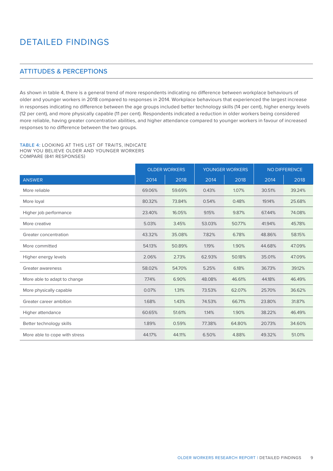### ATTITUDES & PERCEPTIONS

As shown in table 4, there is a general trend of more respondents indicating no difference between workplace behaviours of older and younger workers in 2018 compared to responses in 2014. Workplace behaviours that experienced the largest increase in responses indicating no difference between the age groups included better technology skills (14 per cent), higher energy levels (12 per cent), and more physically capable (11 per cent). Respondents indicated a reduction in older workers being considered more reliable, having greater concentration abilities, and higher attendance compared to younger workers in favour of increased responses to no difference between the two groups.

TABLE 4: LOOKING AT THIS LIST OF TRAITS, INDICATE HOW YOU BELIEVE OLDER AND YOUNGER WORKERS COMPARE (841 RESPONSES)

|                               | <b>OLDER WORKERS</b> |        | <b>YOUNGER WORKERS</b> |        |        | <b>NO DIFFERENCE</b> |
|-------------------------------|----------------------|--------|------------------------|--------|--------|----------------------|
| <b>ANSWER</b>                 | 2014                 | 2018   | 2014                   | 2018   | 2014   | 2018                 |
| More reliable                 | 69.06%               | 59.69% | 0.43%                  | 1.07%  | 30.51% | 39.24%               |
| More loyal                    | 80.32%               | 73.84% | 0.54%                  | 0.48%  | 19.14% | 25.68%               |
| Higher job performance        | 23.40%               | 16.05% | 9.15%                  | 9.87%  | 67.44% | 74.08%               |
| More creative                 | 5.03%                | 3.45%  | 53.03%                 | 50.77% | 41.94% | 45.78%               |
| Greater concentration         | 43.32%               | 35.08% | 7.82%                  | 6.78%  | 48.86% | 58.15%               |
| More committed                | 54.13%               | 50.89% | 1.19%                  | 1.90%  | 44.68% | 47.09%               |
| Higher energy levels          | 2.06%                | 2.73%  | 62.93%                 | 50.18% | 35.01% | 47.09%               |
| Greater awareness             | 58.02%               | 54.70% | 5.25%                  | 6.18%  | 36.73% | 39.12%               |
| More able to adapt to change  | 7.74%                | 6.90%  | 48.08%                 | 46.61% | 44.18% | 46.49%               |
| More physically capable       | 0.07%                | 1.31%  | 73.53%                 | 62.07% | 25.70% | 36.62%               |
| Greater career ambition       | 1.68%                | 1.43%  | 74.53%                 | 66.71% | 23.80% | 31.87%               |
| Higher attendance             | 60.65%               | 51.61% | 1.14%                  | 1.90%  | 38.22% | 46.49%               |
| Better technology skills      | 1.89%                | 0.59%  | 77.38%                 | 64.80% | 20.73% | 34.60%               |
| More able to cope with stress | 44.17%               | 44.11% | 6.50%                  | 4.88%  | 49.32% | 51.01%               |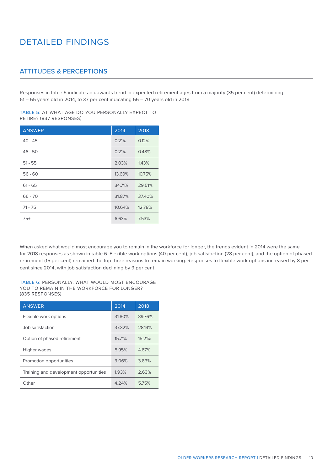### ATTITUDES & PERCEPTIONS

Responses in table 5 indicate an upwards trend in expected retirement ages from a majority (35 per cent) determining 61 – 65 years old in 2014, to 37 per cent indicating 66 – 70 years old in 2018.

TABLE 5: AT WHAT AGE DO YOU PERSONALLY EXPECT TO RETIRE? (837 RESPONSES)

| <b>ANSWER</b> | 2014   | 2018   |
|---------------|--------|--------|
| $40 - 45$     | 0.21%  | 0.12%  |
| $46 - 50$     | 0.21%  | 0.48%  |
| $51 - 55$     | 2.03%  | 1.43%  |
| $56 - 60$     | 13.69% | 10.75% |
| $61 - 65$     | 34.71% | 29.51% |
| $66 - 70$     | 31.87% | 37.40% |
| $71 - 75$     | 10.64% | 12.78% |
| $75+$         | 6.63%  | 7.53%  |

When asked what would most encourage you to remain in the workforce for longer, the trends evident in 2014 were the same for 2018 responses as shown in table 6. Flexible work options (40 per cent), job satisfaction (28 per cent), and the option of phased retirement (15 per cent) remained the top three reasons to remain working. Responses to flexible work options increased by 8 per cent since 2014, with job satisfaction declining by 9 per cent.

TABLE 6: PERSONALLY, WHAT WOULD MOST ENCOURAGE YOU TO REMAIN IN THE WORKFORCE FOR LONGER? (835 RESPONSES)

| <b>ANSWER</b>                          | 2014   | 2018   |
|----------------------------------------|--------|--------|
| Flexible work options                  | 31.80% | 39.76% |
| Job satisfaction                       | 37.32% | 28.14% |
| Option of phased retirement            | 15.71% | 15.21% |
| Higher wages                           | 5.95%  | 4.67%  |
| Promotion opportunities                | 3.06%  | 3.83%  |
| Training and development opportunities | 1.93%  | 2.63%  |
| Other                                  | 4.24%  | 5.75%  |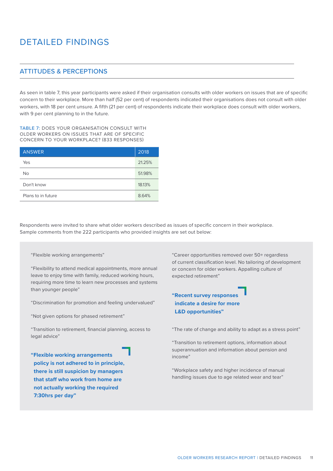### ATTITUDES & PERCEPTIONS

As seen in table 7, this year participants were asked if their organisation consults with older workers on issues that are of specific concern to their workplace. More than half (52 per cent) of respondents indicated their organisations does not consult with older workers, with 18 per cent unsure. A fifth (21 per cent) of respondents indicate their workplace does consult with older workers, with 9 per cent planning to in the future.

TABLE 7: DOES YOUR ORGANISATION CONSULT WITH OLDER WORKERS ON ISSUES THAT ARE OF SPECIFIC CONCERN TO YOUR WORKPLACE? (833 RESPONSES)

| <b>ANSWER</b>      | 2018   |
|--------------------|--------|
| Yes                | 21.25% |
| <b>No</b>          | 51.98% |
| Don't know         | 18.13% |
| Plans to in future | 8.64%  |

Respondents were invited to share what older workers described as issues of specific concern in their workplace. Sample comments from the 222 participants who provided insights are set out below:

#### "Flexible working arrangements"

"Flexibility to attend medical appointments, more annual leave to enjoy time with family, reduced working hours, requiring more time to learn new processes and systems than younger people"

"Discrimination for promotion and feeling undervalued"

"Not given options for phased retirement"

"Transition to retirement, financial planning, access to legal advice"

**"Flexible working arrangements policy is not adhered to in principle, there is still suspicion by managers that staff who work from home are not actually working the required 7:30hrs per day"**

"Career opportunities removed over 50+ regardless of current classification level. No tailoring of development or concern for older workers. Appalling culture of expected retirement"

### **"Recent survey responses indicate a desire for more L&D opportunities"**

"The rate of change and ability to adapt as a stress point"

"Transition to retirement options, information about superannuation and information about pension and income"

"Workplace safety and higher incidence of manual handling issues due to age related wear and tear"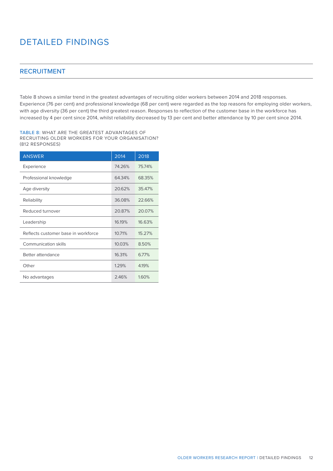#### RECRUITMENT

Table 8 shows a similar trend in the greatest advantages of recruiting older workers between 2014 and 2018 responses. Experience (76 per cent) and professional knowledge (68 per cent) were regarded as the top reasons for employing older workers, with age diversity (36 per cent) the third greatest reason. Responses to reflection of the customer base in the workforce has increased by 4 per cent since 2014, whilst reliability decreased by 13 per cent and better attendance by 10 per cent since 2014.

TABLE 8: WHAT ARE THE GREATEST ADVANTAGES OF RECRUITING OLDER WORKERS FOR YOUR ORGANISATION? (812 RESPONSES)

| <b>ANSWER</b>                       | 2014   | 2018   |
|-------------------------------------|--------|--------|
| Experience                          | 74.26% | 75.74% |
| Professional knowledge              | 64.34% | 68.35% |
| Age diversity                       | 20.62% | 35.47% |
| Reliability                         | 36.08% | 22.66% |
| Reduced turnover                    | 20.87% | 20.07% |
| Leadership                          | 16.19% | 16.63% |
| Reflects customer base in workforce | 10.71% | 15.27% |
| Communication skills                | 10.03% | 8.50%  |
| Better attendance                   | 16.31% | 6.77%  |
| Other                               | 1.29%  | 419%   |
| No advantages                       | 2.46%  | 1.60%  |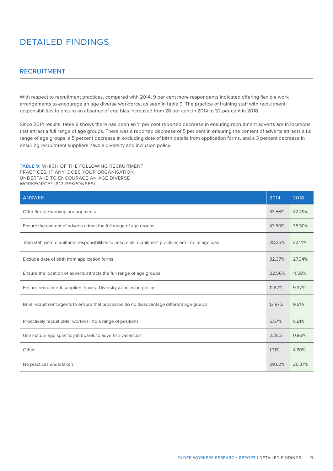#### RECRUITMENT

With respect to recruitment practices, compared with 2014, 9 per cent more respondents indicated offering flexible work arrangements to encourage an age diverse workforce, as seen in table 9. The practice of training staff with recruitment responsibilities to ensure an absence of age bias increased from 28 per cent in 2014 to 32 per cent in 2018.

Since 2014 results, table 9 shows there has been an 11 per cent reported decrease in ensuring recruitment adverts are in locations that attract a full range of age groups. There was a reported decrease of 5 per cent in ensuring the content of adverts attracts a full range of age groups, a 5 percent decrease in excluding date of birth details from application forms, and a 3 percent decrease in ensuring recruitment suppliers have a diversity and inclusion policy.

TABLE 9: WHICH OF THE FOLLOWING RECRUITMENT PRACTICES, IF ANY, DOES YOUR ORGANISATION UNDERTAKE TO ENCOURAGE AN AGE DIVERSE WORKFORCE? (812 RESPONSES)

| <b>ANSWER</b>                                                                                          | 2014   | 2018   |
|--------------------------------------------------------------------------------------------------------|--------|--------|
| Offer flexible working arrangements                                                                    | 33.56% | 42.49% |
| Ensure the content of adverts attract the full range of age groups                                     | 43.50% | 38.30% |
| Train staff with recruitment responsibilities to ensure all recruitment practices are free of age bias | 28.25% | 32.14% |
| Exclude date of birth from application forms                                                           | 32.37% | 27.34% |
| Ensure the location of adverts attracts the full range of age groups                                   | 22.56% | 11.58% |
| Ensure recruitment suppliers have a Diversity & Inclusion policy                                       | 11.87% | 9.37%  |
| Brief recruitment agents to ensure that processes do no disadvantage different age groups              | 13.87% | 9.61%  |
| Proactively recruit older workers into a range of positions                                            | 5.57%  | 5.91%  |
| Use mature age specific job boards to advertise vacancies                                              | 2.26%  | 0.86%  |
| Other                                                                                                  | 1.31%  | 4.80%  |
| No practices undertaken                                                                                | 29.62% | 25.37% |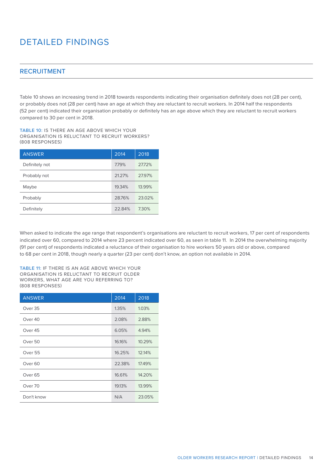#### RECRUITMENT

Table 10 shows an increasing trend in 2018 towards respondents indicating their organisation definitely does not (28 per cent), or probably does not (28 per cent) have an age at which they are reluctant to recruit workers. In 2014 half the respondents (52 per cent) indicated their organisation probably or definitely has an age above which they are reluctant to recruit workers compared to 30 per cent in 2018.

TABLE 10: IS THERE AN AGE ABOVE WHICH YOUR ORGANISATION IS RELUCTANT TO RECRUIT WORKERS? (808 RESPONSES)

| <b>ANSWER</b>  | 2014   | 2018   |
|----------------|--------|--------|
| Definitely not | 7.79%  | 27.72% |
| Probably not   | 21.27% | 27.97% |
| Maybe          | 19.34% | 13.99% |
| Probably       | 28.76% | 23.02% |
| Definitely     | 22.84% | 7.30%  |

When asked to indicate the age range that respondent's organisations are reluctant to recruit workers, 17 per cent of respondents indicated over 60, compared to 2014 where 23 percent indicated over 60, as seen in table 11. In 2014 the overwhelming majority (91 per cent) of respondents indicated a reluctance of their organisation to hire workers 50 years old or above, compared to 68 per cent in 2018, though nearly a quarter (23 per cent) don't know, an option not available in 2014.

TABLE 11: IF THERE IS AN AGE ABOVE WHICH YOUR ORGANISATION IS RELUCTANT TO RECRUIT OLDER WORKERS, WHAT AGE ARE YOU REFERRING TO? (808 RESPONSES)

| <b>ANSWER</b>      | 2014   | 2018   |
|--------------------|--------|--------|
| Over 35            | 1.35%  | 1.03%  |
| Over 40            | 2.08%  | 2.88%  |
| Over 45            | 6.05%  | 4.94%  |
| Over <sub>50</sub> | 16.16% | 10.29% |
| Over 55            | 16.25% | 12.14% |
| Over <sub>60</sub> | 22.38% | 17.49% |
| Over <sub>65</sub> | 16.61% | 14.20% |
| Over 70            | 19.13% | 13.99% |
| Don't know         | N/A    | 23.05% |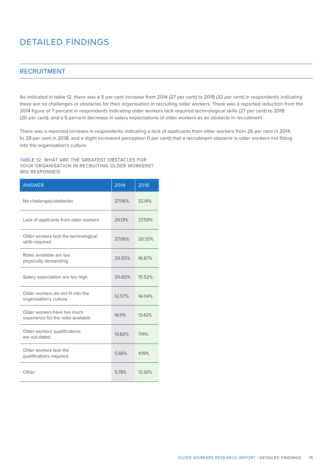#### RECRUITMENT

As indicated in table 12, there was a 5 per cent increase from 2014 (27 per cent) to 2018 (32 per cent) in respondents indicating there are no challenges or obstacles for their organisation in recruiting older workers. There was a reported reduction from the 2014 figure of 7 percent in respondents indicating older workers lack required technological skills (27 per cent) to 2018 (20 per cent), and a 5 percent decrease in salary expectations of older workers as an obstacle in recruitment.

There was a reported increase in respondents indicating a lack of applicants from older workers from 26 per cent in 2014, to 28 per cent in 2018, and a slight increased perception (1 per cent) that a recruitment obstacle is older workers not fitting into the organisation's culture.

TABLE 12: WHAT ARE THE GREATEST OBSTACLES FOR YOUR ORGANISATION IN RECRUITING OLDER WORKERS? (812 RESPONSES)

| <b>ANSWER</b>                                                     | 2014   | 2018   |
|-------------------------------------------------------------------|--------|--------|
| No challenges/obstacles                                           | 27.06% | 32.14% |
| Lack of applicants from older workers                             | 26.13% | 27.59% |
| Older workers lack the technological<br>skills required           | 27.06% | 20.32% |
| Roles available are too<br>physically demanding                   | 29.55% | 16.87% |
| Salary expectation are too high                                   | 20.65% | 15.52% |
| Older workers do not fit into the<br>organisation's culture       | 12.57% | 14.04% |
| Older workers have too much<br>experience for the roles available | 16.11% | 13.42% |
| Older workers' qualifications<br>are out-dated                    | 10.82% | 7.14%  |
| Older workers lack the<br>qualifications required                 | 5.66%  | 419%   |
| Other                                                             | 5.78%  | 13.30% |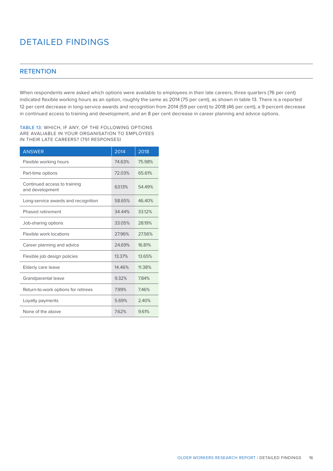### **RETENTION**

When respondents were asked which options were available to employees in their late careers, three quarters (76 per cent) indicated flexible working hours as an option, roughly the same as 2014 (75 per cent), as shown in table 13. There is a reported 12 per cent decrease in long-service awards and recognition from 2014 (59 per cent) to 2018 (46 per cent), a 9 percent decrease in continued access to training and development, and an 8 per cent decrease in career planning and advice options.

TABLE 13: WHICH, IF ANY, OF THE FOLLOWING OPTIONS ARE AVALIABLE IN YOUR ORGANISATION TO EMPLOYEES IN THEIR LATE CAREERS? (791 RESPONSES)

| <b>ANSWER</b>                                   | 2014   | 2018   |
|-------------------------------------------------|--------|--------|
| Flexible working hours                          | 74.63% | 75.98% |
| Part-time options                               | 72.03% | 65.61% |
| Continued access to training<br>and development | 6313%  | 54 49% |
| Long-service awards and recognition             | 58.65% | 46.40% |
| Phased retirement                               | 34.44% | 33.12% |
| Job-sharing options                             | 33.05% | 28.19% |
| Flexible work locations                         | 27.96% | 27.56% |
| Career planning and advice                      | 24.69% | 16.81% |
| Flexible job design policies                    | 13.37% | 13.65% |
| Elderly care leave                              | 14.46% | 11.38% |
| Grandparental leave                             | 9.32%  | 7.84%  |
| Return-to-work options for retirees             | 7.99%  | 7.46%  |
| Loyalty payments                                | 5.69%  | 2.40%  |
| None of the above                               | 7.62%  | 9.61%  |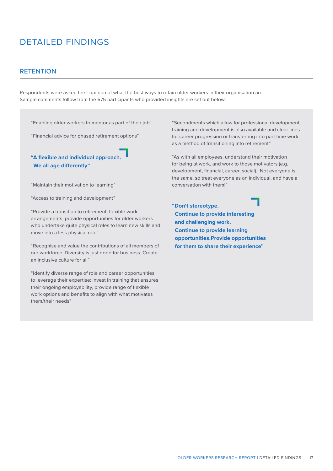#### **RETENTION**

Respondents were asked their opinion of what the best ways to retain older workers in their organisation are. Sample comments follow from the 675 participants who provided insights are set out below:

"Enabling older workers to mentor as part of their job"

"Financial advice for phased retirement options"

### **"A flexible and individual approach. We all age differently"**

"Maintain their motivation to learning"

"Access to training and development"

"Provide a transition to retirement, flexible work arrangements, provide opportunities for older workers who undertake quite physical roles to learn new skills and move into a less physical role"

"Recognise and value the contributions of all members of our workforce. Diversity is just good for business. Create an inclusive culture for all"

"Identify diverse range of role and career opportunities to leverage their expertise; invest in training that ensures their ongoing employability, provide range of flexible work options and benefits to align with what motivates them/their needs"

"Secondments which allow for professional development, training and development is also available and clear lines for career progression or transferring into part time work as a method of transitioning into retirement"

"As with all employees, understand their motivation for being at work, and work to those motivators (e.g. development, financial, career, social). Not everyone is the same, so treat everyone as an individual, and have a conversation with them!"

**"Don't stereotype. Continue to provide interesting and challenging work. Continue to provide learning opportunities.Provide opportunities for them to share their experience"**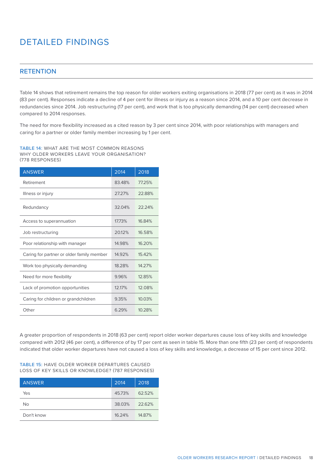### **RETENTION**

Table 14 shows that retirement remains the top reason for older workers exiting organisations in 2018 (77 per cent) as it was in 2014 (83 per cent). Responses indicate a decline of 4 per cent for illness or injury as a reason since 2014, and a 10 per cent decrease in redundancies since 2014. Job restructuring (17 per cent), and work that is too physically demanding (14 per cent) decreased when compared to 2014 responses.

The need for more flexibility increased as a cited reason by 3 per cent since 2014, with poor relationships with managers and caring for a partner or older family member increasing by 1 per cent.

TABLE 14: WHAT ARE THE MOST COMMON REASONS WHY OLDER WORKERS LEAVE YOUR ORGANISATION? (778 RESPONSES)

| <b>ANSWER</b>                             | 2014   | 2018   |
|-------------------------------------------|--------|--------|
| Retirement                                | 83.48% | 77.25% |
| Illness or injury                         | 27.27% | 22.88% |
| Redundancy                                | 32.04% | 22.24% |
| Access to superannuation                  | 17.73% | 16.84% |
| Job restructuring                         | 20.12% | 16.58% |
| Poor relationship with manager            | 14.98% | 16.20% |
| Caring for partner or older family member | 14.92% | 15.42% |
| Work too physically demanding             | 18.28% | 14.27% |
| Need for more flexibility                 | 9.96%  | 12.85% |
| Lack of promotion opportunities           | 12.17% | 12.08% |
| Caring for children or grandchildren      | 9.35%  | 10.03% |
| Other                                     | 6.29%  | 10.28% |

A greater proportion of respondents in 2018 (63 per cent) report older worker departures cause loss of key skills and knowledge compared with 2012 (46 per cent), a difference of by 17 per cent as seen in table 15. More than one fifth (23 per cent) of respondents indicated that older worker departures have not caused a loss of key skills and knowledge, a decrease of 15 per cent since 2012.

#### TABLE 15: HAVE OLDER WORKER DEPARTURES CAUSED LOSS OF KEY SKILLS OR KNOWLEDGE? (787 RESPONSES)

| <b>ANSWER</b> | 2014   | 2018   |
|---------------|--------|--------|
| Yes           | 45.73% | 62.52% |
| Νo            | 38.03% | 22.62% |
| Don't know    | 16.24% | 14.87% |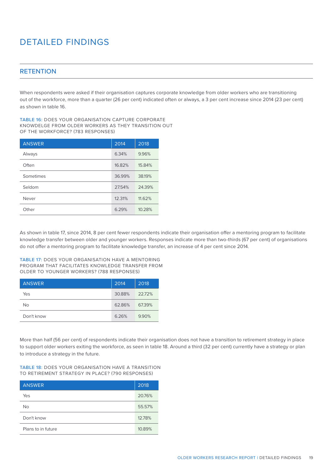### **RETENTION**

When respondents were asked if their organisation captures corporate knowledge from older workers who are transitioning out of the workforce, more than a quarter (26 per cent) indicated often or always, a 3 per cent increase since 2014 (23 per cent) as shown in table 16.

TABLE 16: DOES YOUR ORGANISATION CAPTURE CORPORATE KNOWDELGE FROM OLDER WORKERS AS THEY TRANSITION OUT OF THE WORKFORCE? (783 RESPONSES)

| <b>ANSWER</b> | 2014   | 2018   |
|---------------|--------|--------|
| Always        | 6.34%  | 9.96%  |
| Often         | 16.82% | 15.84% |
| Sometimes     | 36.99% | 38.19% |
| Seldom        | 27.54% | 24.39% |
| Never         | 12.31% | 11.62% |
| Other         | 6.29%  | 10.28% |

As shown in table 17, since 2014, 8 per cent fewer respondents indicate their organisation offer a mentoring program to facilitate knowledge transfer between older and younger workers. Responses indicate more than two-thirds (67 per cent) of organisations do not offer a mentoring program to facilitate knowledge transfer, an increase of 4 per cent since 2014.

TABLE 17: DOES YOUR ORGANISATION HAVE A MENTORING PROGRAM THAT FACILITATES KNOWLEDGE TRANSFER FROM OLDER TO YOUNGER WORKERS? (788 RESPONSES)

| <b>ANSWER</b> | 2014   | 2018   |
|---------------|--------|--------|
| Yes           | 30.88% | 22.72% |
| No            | 62.86% | 6739%  |
| Don't know    | 6.26%  | 9.90%  |

More than half (56 per cent) of respondents indicate their organisation does not have a transition to retirement strategy in place to support older workers exiting the workforce, as seen in table 18. Around a third (32 per cent) currently have a strategy or plan to introduce a strategy in the future.

TABLE 18: DOES YOUR ORGANISATION HAVE A TRANSITION TO RETIREMENT STRATEGY IN PLACE? (790 RESPONSES)

| <b>ANSWER</b>      | 2018   |
|--------------------|--------|
| Yes                | 20.76% |
| No                 | 55.57% |
| Don't know         | 12.78% |
| Plans to in future | 10.89% |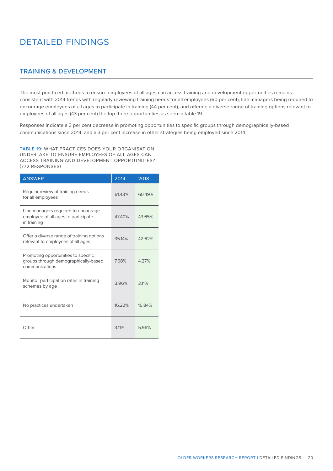### TRAINING & DEVELOPMENT

The most practiced methods to ensure employees of all ages can access training and development opportunities remains consistent with 2014 trends with regularly reviewing training needs for all employees (60 per cent), line managers being required to encourage employees of all ages to participate in training (44 per cent), and offering a diverse range of training options relevant to employees of all ages (43 per cent) the top three opportunities as seen in table 19.

Responses indicate a 3 per cent decrease in promoting opportunities to specific groups through demographically-based communications since 2014, and a 3 per cent increase in other strategies being employed since 2014.

TABLE 19: WHAT PRACTICES DOES YOUR ORGANISATION UNDERTAKE TO ENSURE EMPLOYEES OF ALL AGES CAN ACCESS TRAINING AND DEVELOPMENT OPPORTUNITIES? (772 RESPONSES)

| <b>ANSWER</b>                                                                                 | 2014   | 2018   |
|-----------------------------------------------------------------------------------------------|--------|--------|
| Regular review of training needs<br>for all employees                                         | 61.43% | 60.49% |
| Line managers required to encourage<br>employee of all ages to participate<br>in training     | 47.40% | 43.65% |
| Offer a diverse range of training options<br>relevant to employees of all ages                | 35.14% | 42.62% |
| Promoting opportunities to specific<br>groups through demographically-based<br>communications | 7.68%  | 4.27%  |
| Monitor participation rates in training<br>schemes by age                                     | 3.96%  | 3.11%  |
| No practices undertaken                                                                       | 16.22% | 16.84% |
| Other                                                                                         | 3.11%  | 5.96%  |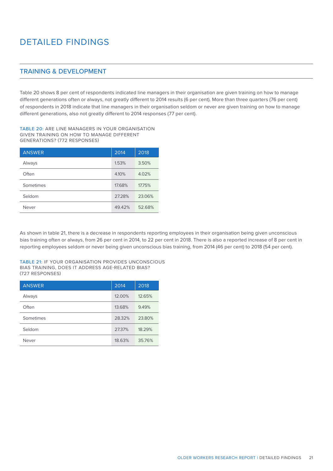### TRAINING & DEVELOPMENT

Table 20 shows 8 per cent of respondents indicated line managers in their organisation are given training on how to manage different generations often or always, not greatly different to 2014 results (6 per cent). More than three quarters (76 per cent) of respondents in 2018 indicate that line managers in their organisation seldom or never are given training on how to manage different generations, also not greatly different to 2014 responses (77 per cent).

TABLE 20: ARE LINE MANAGERS IN YOUR ORGANISATION GIVEN TRAINING ON HOW TO MANAGE DIFFERENT GENERATIONS? (772 RESPONSES)

| <b>ANSWER</b> | 2014   | 2018   |
|---------------|--------|--------|
| Always        | 1.53%  | 3.50%  |
| Often         | 4.10%  | 4.02%  |
| Sometimes     | 17.68% | 17.75% |
| Seldom        | 27.28% | 23.06% |
| Never         | 49.42% | 52.68% |

As shown in table 21, there is a decrease in respondents reporting employees in their organisation being given unconscious bias training often or always, from 26 per cent in 2014, to 22 per cent in 2018. There is also a reported increase of 8 per cent in reporting employees seldom or never being given unconscious bias training, from 2014 (46 per cent) to 2018 (54 per cent).

TABLE 21: IF YOUR ORGANISATION PROVIDES UNCONSCIOUS BIAS TRAINING, DOES IT ADDRESS AGE-RELATED BIAS? (727 RESPONSES)

| <b>ANSWER</b> | 2014   | 2018   |
|---------------|--------|--------|
| Always        | 12.00% | 12.65% |
| Often         | 13.68% | 9.49%  |
| Sometimes     | 28.32% | 23.80% |
| Seldom        | 27.37% | 18.29% |
| Never         | 18.63% | 35.76% |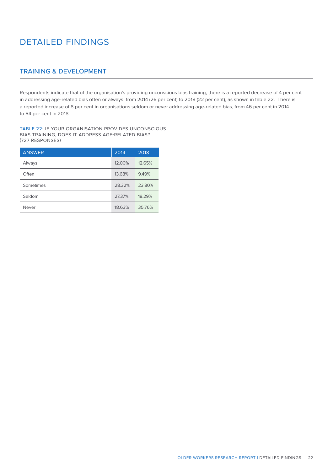### TRAINING & DEVELOPMENT

Respondents indicate that of the organisation's providing unconscious bias training, there is a reported decrease of 4 per cent in addressing age-related bias often or always, from 2014 (26 per cent) to 2018 (22 per cent), as shown in table 22. There is a reported increase of 8 per cent in organisations seldom or never addressing age-related bias, from 46 per cent in 2014 to 54 per cent in 2018.

TABLE 22: IF YOUR ORGANISATION PROVIDES UNCONSCIOUS BIAS TRAINING, DOES IT ADDRESS AGE-RELATED BIAS? (727 RESPONSES)

| <b>ANSWER</b> | 2014   | 2018   |
|---------------|--------|--------|
| Always        | 12.00% | 12.65% |
| Often         | 13.68% | 9.49%  |
| Sometimes     | 28.32% | 23.80% |
| Seldom        | 27.37% | 18.29% |
| Never         | 18.63% | 35.76% |